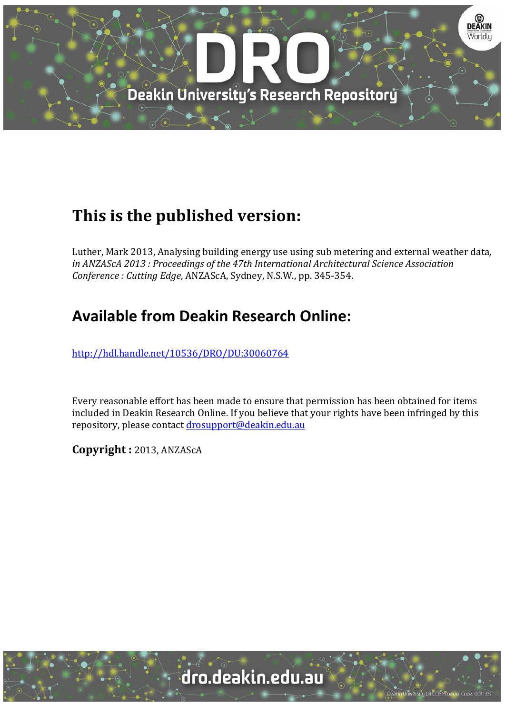

# **This is the published version:**

Luther, Mark 2013, Analysing building energy use using sub metering and external weather data, *in ANZAScA 2013 : Proceedings of the 47th International Architectural Science Association Conference : Cutting Edge*, ANZAScA, Sydney, N.S.W., pp. 345‐354. 

# **Available from Deakin Research Online:**

http://hdl.handle.net/10536/DRO/DU:30060764

Every reasonable effort has been made to ensure that permission has been obtained for items included in Deakin Research Online. If you believe that your rights have been infringed by this repository, please contact drosupport@deakin.edu.au

**Copyright :** 2013, ANZAScA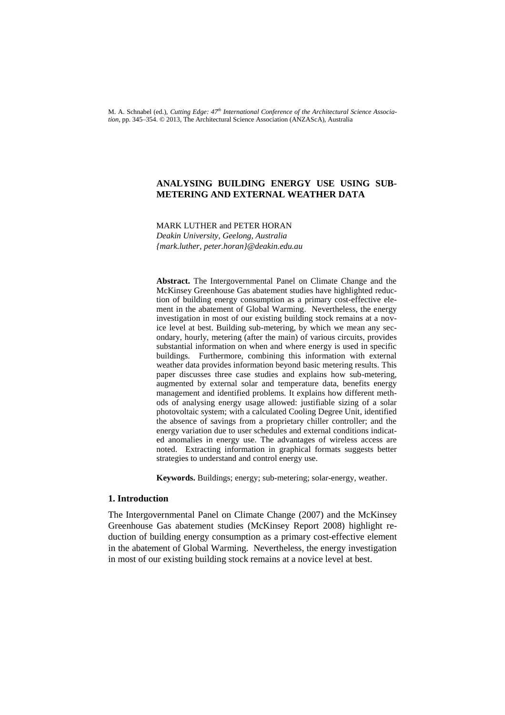M. A. Schnabel (ed.), *Cutting Edge: 47th International Conference of the Architectural Science Association,* pp. 345–354. © 2013, The Architectural Science Association (ANZAScA), Australia

# **ANALYSING BUILDING ENERGY USE USING SUB-METERING AND EXTERNAL WEATHER DATA**

MARK LUTHER and PETER HORAN *Deakin University, Geelong, Australia {mark.luther, peter.horan}@deakin.edu.au*

**Abstract.** The Intergovernmental Panel on Climate Change and the McKinsey Greenhouse Gas abatement studies have highlighted reduction of building energy consumption as a primary cost-effective element in the abatement of Global Warming. Nevertheless, the energy investigation in most of our existing building stock remains at a novice level at best. Building sub-metering, by which we mean any secondary, hourly, metering (after the main) of various circuits, provides substantial information on when and where energy is used in specific buildings. Furthermore, combining this information with external weather data provides information beyond basic metering results. This paper discusses three case studies and explains how sub-metering, augmented by external solar and temperature data, benefits energy management and identified problems. It explains how different methods of analysing energy usage allowed: justifiable sizing of a solar photovoltaic system; with a calculated Cooling Degree Unit, identified the absence of savings from a proprietary chiller controller; and the energy variation due to user schedules and external conditions indicated anomalies in energy use. The advantages of wireless access are noted. Extracting information in graphical formats suggests better strategies to understand and control energy use.

**Keywords.** Buildings; energy; sub-metering; solar-energy, weather.

# **1. Introduction**

The Intergovernmental Panel on Climate Change (2007) and the McKinsey Greenhouse Gas abatement studies (McKinsey Report 2008) highlight reduction of building energy consumption as a primary cost-effective element in the abatement of Global Warming. Nevertheless, the energy investigation in most of our existing building stock remains at a novice level at best.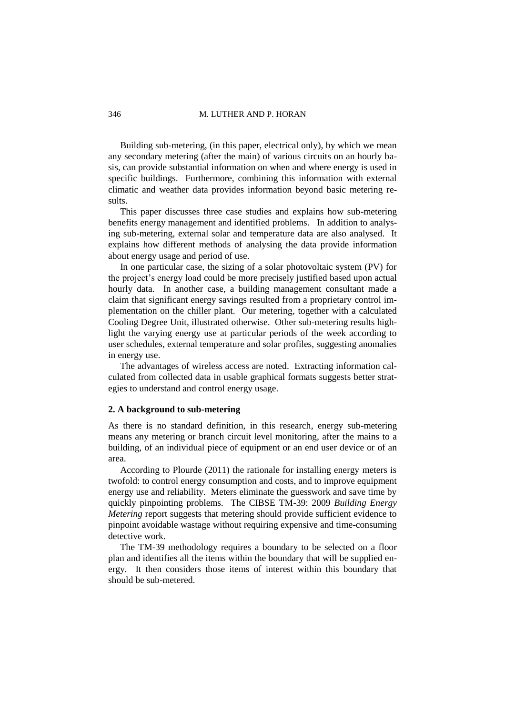#### 346 M. LUTHER AND P. HORAN

Building sub-metering, (in this paper, electrical only), by which we mean any secondary metering (after the main) of various circuits on an hourly basis, can provide substantial information on when and where energy is used in specific buildings. Furthermore, combining this information with external climatic and weather data provides information beyond basic metering results.

This paper discusses three case studies and explains how sub-metering benefits energy management and identified problems. In addition to analysing sub-metering, external solar and temperature data are also analysed. It explains how different methods of analysing the data provide information about energy usage and period of use.

In one particular case, the sizing of a solar photovoltaic system (PV) for the project's energy load could be more precisely justified based upon actual hourly data. In another case, a building management consultant made a claim that significant energy savings resulted from a proprietary control implementation on the chiller plant. Our metering, together with a calculated Cooling Degree Unit, illustrated otherwise. Other sub-metering results highlight the varying energy use at particular periods of the week according to user schedules, external temperature and solar profiles, suggesting anomalies in energy use.

The advantages of wireless access are noted. Extracting information calculated from collected data in usable graphical formats suggests better strategies to understand and control energy usage.

#### **2. A background to sub-metering**

As there is no standard definition, in this research, energy sub-metering means any metering or branch circuit level monitoring, after the mains to a building, of an individual piece of equipment or an end user device or of an area.

According to Plourde (2011) the rationale for installing energy meters is twofold: to control energy consumption and costs, and to improve equipment energy use and reliability. Meters eliminate the guesswork and save time by quickly pinpointing problems. The CIBSE TM-39: 2009 *Building Energy Metering* report suggests that metering should provide sufficient evidence to pinpoint avoidable wastage without requiring expensive and time-consuming detective work.

The TM-39 methodology requires a boundary to be selected on a floor plan and identifies all the items within the boundary that will be supplied energy. It then considers those items of interest within this boundary that should be sub-metered.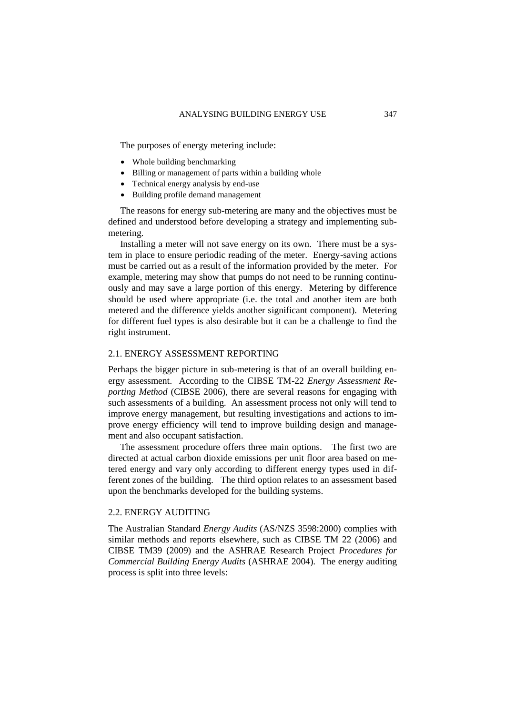The purposes of energy metering include:

- Whole building benchmarking
- Billing or management of parts within a building whole
- Technical energy analysis by end-use
- Building profile demand management

The reasons for energy sub-metering are many and the objectives must be defined and understood before developing a strategy and implementing submetering.

Installing a meter will not save energy on its own. There must be a system in place to ensure periodic reading of the meter. Energy-saving actions must be carried out as a result of the information provided by the meter. For example, metering may show that pumps do not need to be running continuously and may save a large portion of this energy. Metering by difference should be used where appropriate (i.e. the total and another item are both metered and the difference yields another significant component). Metering for different fuel types is also desirable but it can be a challenge to find the right instrument.

# 2.1. ENERGY ASSESSMENT REPORTING

Perhaps the bigger picture in sub-metering is that of an overall building energy assessment. According to the CIBSE TM-22 *Energy Assessment Reporting Method* (CIBSE 2006), there are several reasons for engaging with such assessments of a building. An assessment process not only will tend to improve energy management, but resulting investigations and actions to improve energy efficiency will tend to improve building design and management and also occupant satisfaction.

The assessment procedure offers three main options. The first two are directed at actual carbon dioxide emissions per unit floor area based on metered energy and vary only according to different energy types used in different zones of the building. The third option relates to an assessment based upon the benchmarks developed for the building systems.

# 2.2. ENERGY AUDITING

The Australian Standard *Energy Audits* (AS/NZS 3598:2000) complies with similar methods and reports elsewhere, such as CIBSE TM 22 (2006) and CIBSE TM39 (2009) and the ASHRAE Research Project *Procedures for Commercial Building Energy Audits* (ASHRAE 2004). The energy auditing process is split into three levels: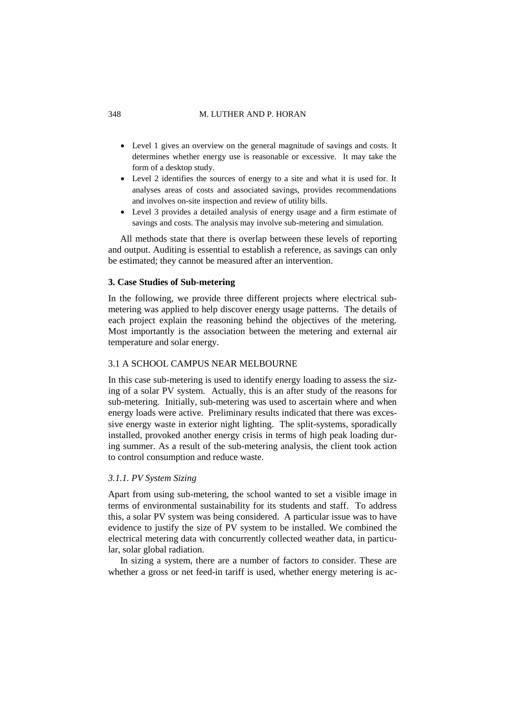#### 348 M. LUTHER AND P. HORAN

- Level 1 gives an overview on the general magnitude of savings and costs. It determines whether energy use is reasonable or excessive. It may take the form of a desktop study.
- Level 2 identifies the sources of energy to a site and what it is used for. It analyses areas of costs and associated savings, provides recommendations and involves on-site inspection and review of utility bills.
- Level 3 provides a detailed analysis of energy usage and a firm estimate of savings and costs. The analysis may involve sub-metering and simulation.

All methods state that there is overlap between these levels of reporting and output. Auditing is essential to establish a reference, as savings can only be estimated; they cannot be measured after an intervention.

### **3. Case Studies of Sub-metering**

In the following, we provide three different projects where electrical submetering was applied to help discover energy usage patterns. The details of each project explain the reasoning behind the objectives of the metering. Most importantly is the association between the metering and external air temperature and solar energy.

# 3.1 A SCHOOL CAMPUS NEAR MELBOURNE

In this case sub-metering is used to identify energy loading to assess the sizing of a solar PV system. Actually, this is an after study of the reasons for sub-metering. Initially, sub-metering was used to ascertain where and when energy loads were active. Preliminary results indicated that there was excessive energy waste in exterior night lighting. The split-systems, sporadically installed, provoked another energy crisis in terms of high peak loading during summer. As a result of the sub-metering analysis, the client took action to control consumption and reduce waste.

### *3.1.1. PV System Sizing*

Apart from using sub-metering, the school wanted to set a visible image in terms of environmental sustainability for its students and staff. To address this, a solar PV system was being considered. A particular issue was to have evidence to justify the size of PV system to be installed. We combined the electrical metering data with concurrently collected weather data, in particular, solar global radiation.

In sizing a system, there are a number of factors to consider. These are whether a gross or net feed-in tariff is used, whether energy metering is ac-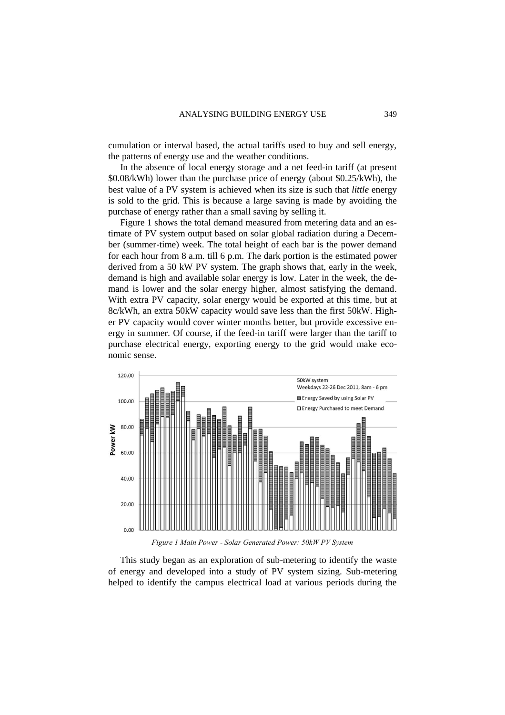cumulation or interval based, the actual tariffs used to buy and sell energy, the patterns of energy use and the weather conditions.

In the absence of local energy storage and a net feed-in tariff (at present \$0.08/kWh) lower than the purchase price of energy (about \$0.25/kWh), the best value of a PV system is achieved when its size is such that *little* energy is sold to the grid. This is because a large saving is made by avoiding the purchase of energy rather than a small saving by selling it.

[Figure 1](#page-5-0) shows the total demand measured from metering data and an estimate of PV system output based on solar global radiation during a December (summer-time) week. The total height of each bar is the power demand for each hour from 8 a.m. till 6 p.m. The dark portion is the estimated power derived from a 50 kW PV system. The graph shows that, early in the week, demand is high and available solar energy is low. Later in the week, the demand is lower and the solar energy higher, almost satisfying the demand. With extra PV capacity, solar energy would be exported at this time, but at 8c/kWh, an extra 50kW capacity would save less than the first 50kW. Higher PV capacity would cover winter months better, but provide excessive energy in summer. Of course, if the feed-in tariff were larger than the tariff to purchase electrical energy, exporting energy to the grid would make economic sense.



*Figure 1 Main Power - Solar Generated Power: 50kW PV System*

<span id="page-5-0"></span>This study began as an exploration of sub-metering to identify the waste of energy and developed into a study of PV system sizing. Sub-metering helped to identify the campus electrical load at various periods during the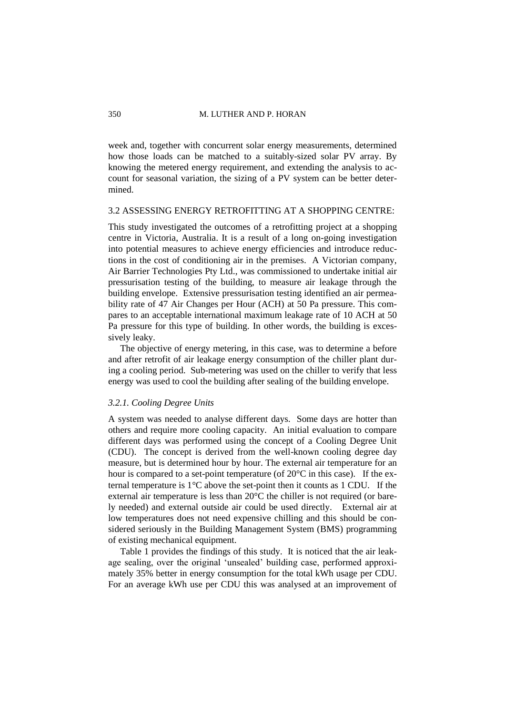week and, together with concurrent solar energy measurements, determined how those loads can be matched to a suitably-sized solar PV array. By knowing the metered energy requirement, and extending the analysis to account for seasonal variation, the sizing of a PV system can be better determined.

# 3.2 ASSESSING ENERGY RETROFITTING AT A SHOPPING CENTRE:

This study investigated the outcomes of a retrofitting project at a shopping centre in Victoria, Australia. It is a result of a long on-going investigation into potential measures to achieve energy efficiencies and introduce reductions in the cost of conditioning air in the premises. A Victorian company, Air Barrier Technologies Pty Ltd., was commissioned to undertake initial air pressurisation testing of the building, to measure air leakage through the building envelope. Extensive pressurisation testing identified an air permeability rate of 47 Air Changes per Hour (ACH) at 50 Pa pressure. This compares to an acceptable international maximum leakage rate of 10 ACH at 50 Pa pressure for this type of building. In other words, the building is excessively leaky.

The objective of energy metering, in this case, was to determine a before and after retrofit of air leakage energy consumption of the chiller plant during a cooling period. Sub-metering was used on the chiller to verify that less energy was used to cool the building after sealing of the building envelope.

#### *3.2.1. Cooling Degree Units*

A system was needed to analyse different days. Some days are hotter than others and require more cooling capacity. An initial evaluation to compare different days was performed using the concept of a Cooling Degree Unit (CDU). The concept is derived from the well-known cooling degree day measure, but is determined hour by hour. The external air temperature for an hour is compared to a set-point temperature (of 20°C in this case). If the external temperature is 1°C above the set-point then it counts as 1 CDU. If the external air temperature is less than 20°C the chiller is not required (or barely needed) and external outside air could be used directly. External air at low temperatures does not need expensive chilling and this should be considered seriously in the Building Management System (BMS) programming of existing mechanical equipment.

Table 1 provides the findings of this study. It is noticed that the air leakage sealing, over the original 'unsealed' building case, performed approximately 35% better in energy consumption for the total kWh usage per CDU. For an average kWh use per CDU this was analysed at an improvement of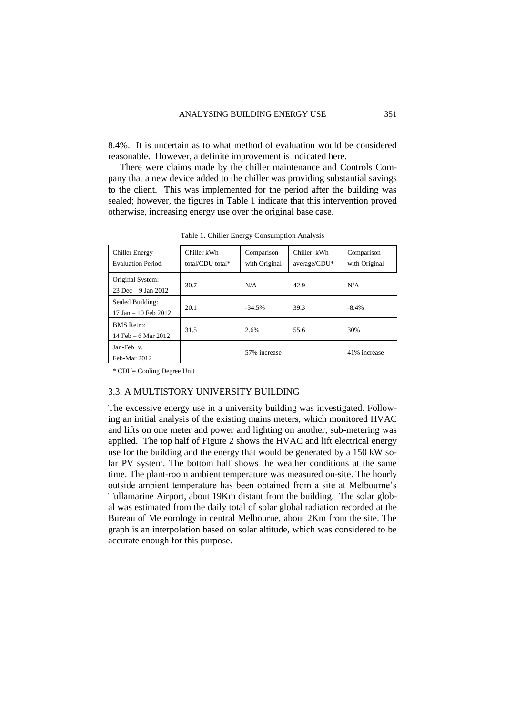8.4%. It is uncertain as to what method of evaluation would be considered reasonable. However, a definite improvement is indicated here.

There were claims made by the chiller maintenance and Controls Company that a new device added to the chiller was providing substantial savings to the client. This was implemented for the period after the building was sealed; however, the figures in Table 1 indicate that this intervention proved otherwise, increasing energy use over the original base case.

| Chiller Energy<br><b>Evaluation Period</b>   | Chiller kWh<br>total/CDU total* | Comparison<br>with Original | Chiller kWh<br>average/CDU* | Comparison<br>with Original |
|----------------------------------------------|---------------------------------|-----------------------------|-----------------------------|-----------------------------|
| Original System:<br>$23$ Dec $-9$ Jan $2012$ | 30.7                            | N/A                         | 42.9                        | N/A                         |
| Sealed Building:<br>17 Jan $-10$ Feb 2012    | 20.1                            | $-34.5%$                    | 39.3                        | $-8.4%$                     |
| <b>BMS</b> Retro:<br>14 Feb – 6 Mar 2012     | 31.5                            | 2.6%                        | 55.6                        | 30%                         |
| Jan-Feb v.<br>Feb-Mar 2012                   |                                 | 57% increase                |                             | 41% increase                |

Table 1. Chiller Energy Consumption Analysis

\* CDU= Cooling Degree Unit

#### 3.3. A MULTISTORY UNIVERSITY BUILDING

The excessive energy use in a university building was investigated. Following an initial analysis of the existing mains meters, which monitored HVAC and lifts on one meter and power and lighting on another, sub-metering was applied. The top half of [Figure 2](#page-8-0) shows the HVAC and lift electrical energy use for the building and the energy that would be generated by a 150 kW solar PV system. The bottom half shows the weather conditions at the same time. The plant-room ambient temperature was measured on-site. The hourly outside ambient temperature has been obtained from a site at Melbourne's Tullamarine Airport, about 19Km distant from the building. The solar global was estimated from the daily total of solar global radiation recorded at the Bureau of Meteorology in central Melbourne, about 2Km from the site. The graph is an interpolation based on solar altitude, which was considered to be accurate enough for this purpose.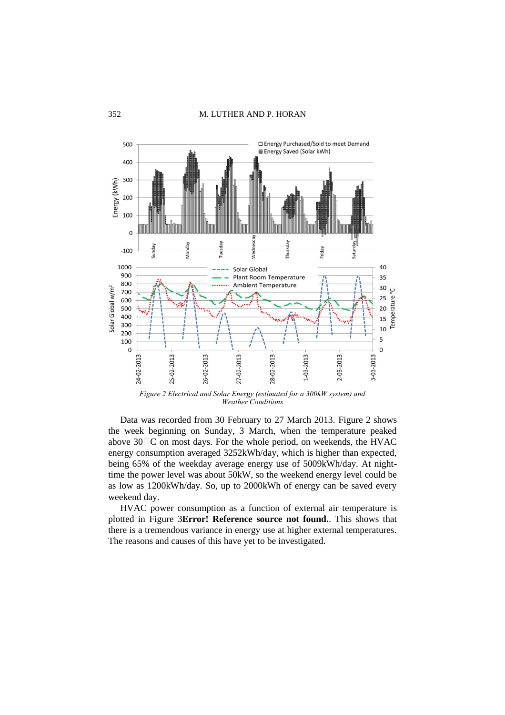

*Figure 2 Electrical and Solar Energy (estimated for a 300kW system) and Weather Conditions*

<span id="page-8-0"></span>Data was recorded from 30 February to 27 March 2013. [Figure 2](#page-8-0) shows the week beginning on Sunday, 3 March, when the temperature peaked above  $30\degree$ C on most days. For the whole period, on weekends, the HVAC energy consumption averaged 3252kWh/day, which is higher than expected, being 65% of the weekday average energy use of 5009kWh/day. At nighttime the power level was about 50kW, so the weekend energy level could be as low as 1200kWh/day. So, up to 2000kWh of energy can be saved every weekend day.

HVAC power consumption as a function of external air temperature is plotted in [Figure 3](#page-9-0)**[Error! Reference source not found.](#page-9-0)**. This shows that there is a tremendous variance in energy use at higher external temperatures. The reasons and causes of this have yet to be investigated.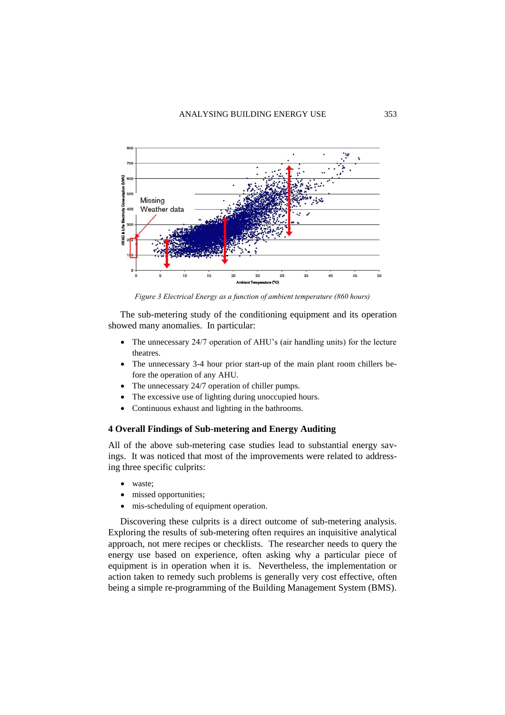

*Figure 3 Electrical Energy as a function of ambient temperature (860 hours)*

<span id="page-9-0"></span>The sub-metering study of the conditioning equipment and its operation showed many anomalies. In particular:

- The unnecessary 24/7 operation of AHU's (air handling units) for the lecture theatres.
- The unnecessary 3-4 hour prior start-up of the main plant room chillers before the operation of any AHU.
- The unnecessary 24/7 operation of chiller pumps.
- The excessive use of lighting during unoccupied hours.
- Continuous exhaust and lighting in the bathrooms.

# **4 Overall Findings of Sub-metering and Energy Auditing**

All of the above sub-metering case studies lead to substantial energy savings. It was noticed that most of the improvements were related to addressing three specific culprits:

- waste;
- missed opportunities;
- mis-scheduling of equipment operation.

Discovering these culprits is a direct outcome of sub-metering analysis. Exploring the results of sub-metering often requires an inquisitive analytical approach, not mere recipes or checklists. The researcher needs to query the energy use based on experience, often asking why a particular piece of equipment is in operation when it is. Nevertheless, the implementation or action taken to remedy such problems is generally very cost effective, often being a simple re-programming of the Building Management System (BMS).